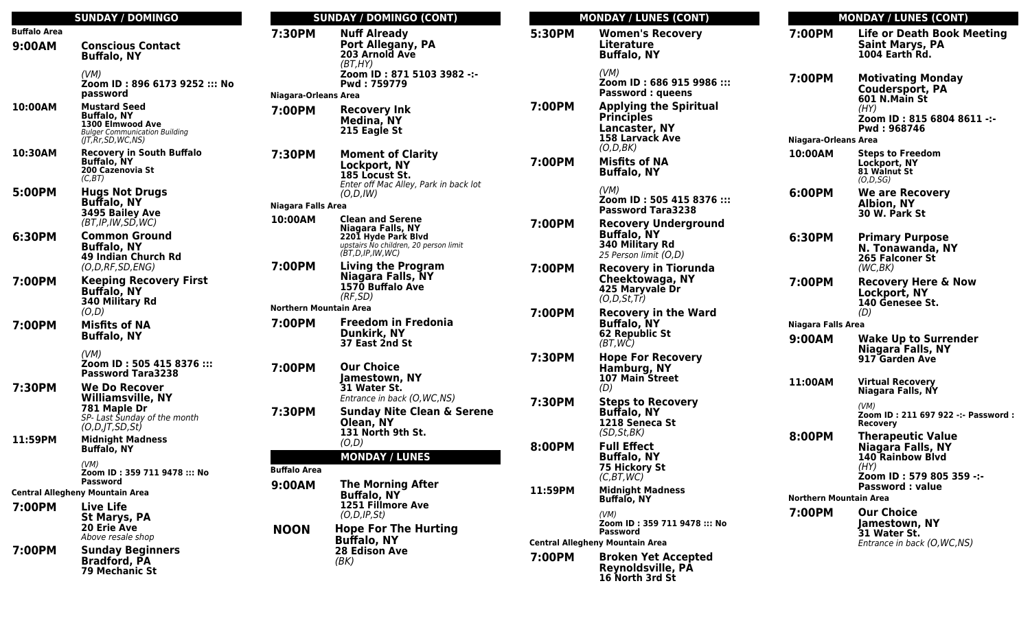|                                        | <b>SUNDAY / DOMINGO</b>                                                                                                   |  |
|----------------------------------------|---------------------------------------------------------------------------------------------------------------------------|--|
| <b>Buffalo Area</b>                    |                                                                                                                           |  |
| 9:00AM                                 | <b>Conscious Contact</b><br><b>Buffalo, NY</b>                                                                            |  |
|                                        | (VM)<br>Zoom ID: 896 6173 9252 ::: No<br>password                                                                         |  |
| 10:00AM                                | <b>Mustard Seed</b><br><b>Buffalo, NY</b><br>1300 Elmwood Ave<br><b>Bulger Communication Building</b><br>(JT,Rr,SD,WC,NS) |  |
| 10:30AM                                | <b>Recovery in South Buffalo</b><br><b>Buffalo, NY</b><br>200 Cazenovia St<br>(C,BT)                                      |  |
| 5:00PM                                 | <b>Hugs Not Drugs</b><br><b>Buffalo, NY</b><br>3495 Bailey Ave<br>(BT, IP, IVV, SD, WC)                                   |  |
| 6:30PM                                 | <b>Common Ground</b><br><b>Buffalo, NY</b><br>49 Indian Church Rd<br>(O, D, RF, SD, ENG)                                  |  |
| 7:00PM                                 | <b>Keeping Recovery First</b><br><b>Buffalo, NY</b><br>340 Military Rd<br>(O,D)                                           |  |
| 7:00PM                                 | <b>Misfits of NA</b><br><b>Buffalo, NY</b><br>(VM)                                                                        |  |
|                                        | Zoom ID: 505 415 8376 :::<br><b>Password Tara3238</b>                                                                     |  |
| 7:30PM                                 | We Do Recover<br><b>Williamsville, NY</b><br>781 Maple Dr<br>SP- Last Sunday of the month<br>(O, D, JT, SD, St)           |  |
| 11:59PM                                | <b>Midnight Madness</b><br><b>Buffalo, NY</b>                                                                             |  |
|                                        | (VM)<br>Zoom ID: 359 711 9478 ::: No<br>Password                                                                          |  |
| <b>Central Allegheny Mountain Area</b> |                                                                                                                           |  |
| 7:00PM                                 | Live Life<br>St Marys, PA<br>20 Erie Ave<br>Above resale shop                                                             |  |
| 7:00PM                                 | <b>Sunday Beginners</b><br><b>Bradford, PA</b><br><b>79 Mechanic St</b>                                                   |  |

#### **SUNDAY / DOMINGO (CONT) 7:30PM Nuff Already Port Allegany, PA 203 Arnold Ave** (BT,HY) **Zoom ID : 871 5103 3982 -:- Pwd : 759779 Niagara-Orleans Area 7:00PM Recovery Ink Medina, NY 215 Eagle St 7:30PM Moment of Clarity Lockport, NY 185 Locust St.** Enter off Mac Alley, Park in back lot (O,D,IW) **Niagara Falls Area 10:00AM Clean and Serene Niagara Falls, NY 2201 Hyde Park Blvd** upstairs No children, 20 person limit (BT,D,IP,IW,WC) **7:00PM Living the Program Niagara Falls, NY 1570 Buffalo Ave** (RF,SD) **Northern Mountain Area 7:00PM Freedom in Fredonia Dunkirk, NY 37 East 2nd St 7:00PM Our Choice Jamestown, NY 31 Water St.** Entrance in back (O,WC,NS) **7:30PM Sunday Nite Clean & Serene Olean, NY 131 North 9th St.** (O,D) **MONDAY / LUNES Buffalo Area 9:00AM The Morning After Buffalo, NY 1251 Fillmore Ave**  $(O, D, IP, St)$ **NOON Hope For The Hurting Buffalo, NY 28 Edison Ave** (BK)

| <b>MONDAY / LUNES (CONT)</b> |                                                                                                                    | <b>MONDAY / LUNES (CONT)</b>                            |                                                                                                              |  |
|------------------------------|--------------------------------------------------------------------------------------------------------------------|---------------------------------------------------------|--------------------------------------------------------------------------------------------------------------|--|
| 5:30PM                       | <b>Women's Recovery</b><br><b>Literature</b><br><b>Buffalo, NY</b>                                                 | 7:00PM                                                  | <b>Life or Death Book Meeting</b><br><b>Saint Marys, PA</b><br><b>1004 Earth Rd.</b>                         |  |
| 7:00PM                       | (VM)<br>Zoom ID: 686 915 9986 :::<br><b>Password: queens</b><br><b>Applying the Spiritual</b><br><b>Principles</b> | 7:00PM                                                  | <b>Motivating Monday</b><br><b>Coudersport, PA</b><br>601 N.Main St<br>(HY)<br>Zoom ID: 815 6804 8611 -:-    |  |
|                              | Lancaster, NY<br><b>158 Larvack Ave</b>                                                                            | Niagara-Orleans Area                                    | Pwd: 968746                                                                                                  |  |
|                              | (O,D,BK)                                                                                                           | 10:00AM                                                 | <b>Steps to Freedom</b>                                                                                      |  |
| 7:00PM                       | <b>Misfits of NA</b><br><b>Buffalo, NY</b>                                                                         |                                                         | Lockport, NY<br>81 Walnut St<br>(O,D,SG)                                                                     |  |
|                              | (VM)<br>Zoom ID: 505 415 8376 :::<br><b>Password Tara3238</b>                                                      | 6:00PM                                                  | <b>We are Recovery</b><br>Albion, NY<br>30 W. Park St                                                        |  |
| 7:00PM                       | <b>Recovery Underground</b><br><b>Buffalo, NY</b><br>340 Military Rd<br>25 Person limit (O,D)                      | 6:30PM                                                  | <b>Primary Purpose</b><br>N. Tonawanda, NY<br><b>265 Falconer St</b>                                         |  |
| 7:00PM                       | <b>Recovery in Tiorunda</b><br>Cheektowaga, NY<br>425 Maryvale Dr<br>(O, D, St, Tr)                                | 7:00PM                                                  | (WC,BK)<br><b>Recovery Here &amp; Now</b><br>Lockport, NY<br>140 Genesee St.                                 |  |
| 7:00PM                       | <b>Recovery in the Ward</b>                                                                                        |                                                         | (D)                                                                                                          |  |
|                              | <b>Buffalo, NY</b><br>62 Republic St                                                                               | <b>Niagara Falls Area</b>                               |                                                                                                              |  |
|                              | (BT,WC)                                                                                                            | 9:00AM                                                  | <b>Wake Up to Surrender</b><br>Niagara Falls, NY                                                             |  |
| 7:30PM                       | <b>Hope For Recovery</b><br>Hamburg, NY<br>107 Main Street<br>(D)                                                  | 11:00AM                                                 | 917 Garden Ave<br><b>Virtual Recovery</b><br>Niagara Falls, NY                                               |  |
| 7:30PM                       | <b>Steps to Recovery</b><br><b>Buffalo, NY</b><br>1218 Seneca St                                                   |                                                         | (VM)<br>Zoom ID: 211 697 922 -:- Password<br><b>Recovery</b>                                                 |  |
| 8:00PM                       | (SD, St, BK)<br><b>Full Effect</b><br><b>Buffalo, NY</b><br>75 Hickory St<br>(C, BT, WC)                           | 8:00PM                                                  | <b>Therapeutic Value</b><br>Niagara Falls, NY<br><b>140 Rainbow Blvd</b><br>(HY)<br>Zoom ID: 579 805 359 -:- |  |
| 11:59PM                      | <b>Midnight Madness</b><br><b>Buffalo, NY</b>                                                                      | <b>Password: value</b><br><b>Northern Mountain Area</b> |                                                                                                              |  |
|                              | (VM)<br>Zoom ID: 359 711 9478 ::: No<br>Password                                                                   | 7:00PM                                                  | <b>Our Choice</b><br>Jamestown, NY<br>31 Water St.                                                           |  |
|                              | <b>Central Allegheny Mountain Area</b>                                                                             |                                                         | Entrance in back (O, WC, NS)                                                                                 |  |
| 7:00PM                       | <b>Broken Yet Accepted</b><br>Reynoldsville, PA<br>16 North 3rd St                                                 |                                                         |                                                                                                              |  |

**Password :**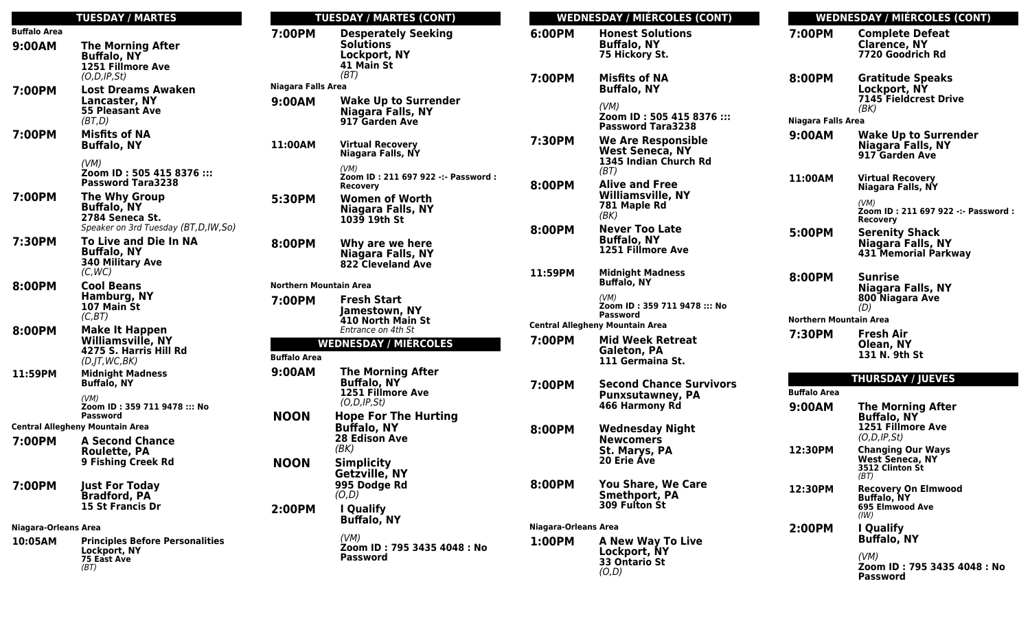|                                        | <b>TUESDAY / MARTES</b>                                                                              |  |
|----------------------------------------|------------------------------------------------------------------------------------------------------|--|
| <b>Buffalo Area</b>                    |                                                                                                      |  |
| 9:00AM                                 | <b>The Morning After</b><br><b>Buffalo, NY</b><br>1251 Fillmore Ave<br>(O, D, IP, St)                |  |
| 7:00PM                                 | Lost Dreams Awaken<br>Lancaster, NY<br><b>55 Pleasant Ave</b><br>(BT.D)                              |  |
| 7:00PM                                 | <b>Misfits of NA</b><br><b>Buffalo, NY</b><br>(VM)                                                   |  |
|                                        | Zoom ID: 505 415 8376 :::<br><b>Password Tara3238</b>                                                |  |
| 7:00PM                                 | <b>The Why Group</b><br><b>Buffalo, NY</b><br>2784 Seneca St.<br>Speaker on 3rd Tuesday (BT,D,IW,So) |  |
| 7:30PM                                 | <b>To Live and Die In NA</b><br><b>Buffalo, NY</b><br><b>340 Military Ave</b><br>(C,WC)              |  |
| 8:00PM                                 | <b>Cool Beans</b><br><b>Hamburg, NY</b><br>107 Main St<br>(C,BT)                                     |  |
| 8:00PM                                 | <b>Make It Happen</b><br>Williamsville, NY<br>4275 S. Harris Hill Rd<br>$(D,$ JT, WC, BK)            |  |
| 11:59PM                                | <b>Midnight Madness</b><br><b>Buffalo, NY</b>                                                        |  |
|                                        | (VM)<br>Zoom ID: 359 711 9478 ::: No<br>Password                                                     |  |
| <b>Central Allegheny Mountain Area</b> |                                                                                                      |  |
| 7:00PM                                 | <b>A Second Chance</b><br><b>Roulette, PA</b><br>9 Fishing Creek Rd                                  |  |
| 7:00PM                                 | <b>Just For Today</b><br><b>Bradford, PA</b><br><b>15 St Francis Dr</b>                              |  |
| Niagara-Orleans Area                   |                                                                                                      |  |
| 10:05AM                                | <b>Principles Before Personalities</b><br>Lockport, NY<br>75 East Ave<br>(BT)                        |  |

### **TUESDAY / MARTES (CONT) 7:00PM Desperately Seeking Solutions Lockport, NY 41 Main St** (BT) **Niagara Falls Area 9:00AM Wake Up to Surrender Niagara Falls, NY 917 Garden Ave 11:00AM Virtual Recovery Niagara Falls, NY** (VM) **Zoom ID : 211 697 922 -:- Password : Recovery 5:30PM Women of Worth Niagara Falls, NY 1039 19th St 8:00PM Why are we here Niagara Falls, NY 822 Cleveland Ave Northern Mountain Area 7:00PM Fresh Start Jamestown, NY 410 North Main St** Entrance on 4th St **WEDNESDAY / MIÉRCOLES Buffalo Area 9:00AM The Morning After Buffalo, NY 1251 Fillmore Ave** (O,D,IP,St) **NOON Hope For The Hurting Buffalo, NY 28 Edison Ave** (BK) **NOON Simplicity Getzville, NY 995 Dodge Rd** (O,D) **2:00PM I Qualify Buffalo, NY** (VM) **Zoom ID : 795 3435 4048 : No Password**

|                                        | <b>WEDNESDAY / MIÉRCOLES (CONT)</b>                                                  |                               | <b>WEDNESDAY / MIÉRCOLES (CONT)</b>                                                        |  |
|----------------------------------------|--------------------------------------------------------------------------------------|-------------------------------|--------------------------------------------------------------------------------------------|--|
| 6:00PM                                 | <b>Honest Solutions</b><br><b>Buffalo, NY</b><br>75 Hickory St.                      | 7:00PM                        | <b>Complete Defeat</b><br><b>Clarence, NY</b><br>7720 Goodrich Rd                          |  |
| 7:00PM                                 | <b>Misfits of NA</b><br><b>Buffalo, NY</b><br>(VM)                                   | 8:00PM                        | <b>Gratitude Speaks</b><br>Lockport, NY<br><b>7145 Fieldcrest Drive</b>                    |  |
|                                        | Zoom ID: 505 415 8376 :::<br><b>Password Tara3238</b>                                | <b>Niagara Falls Area</b>     | (BK)                                                                                       |  |
| 7:30PM                                 | <b>We Are Responsible</b><br><b>West Seneca, NY</b><br>1345 Indian Church Rd<br>(BT) | 9:00AM                        | <b>Wake Up to Surrender</b><br>Niagara Falls, NY<br>917 Garden Ave                         |  |
| 8:00PM                                 | <b>Alive and Free</b><br><b>Williamsville, NY</b><br>781 Maple Rd                    | 11:00AM                       | <b>Virtual Recovery</b><br>Niagara Falls, NY<br>(VM)<br>Zoom ID: 211 697 922 -:- Password: |  |
| 8:00PM                                 | (BK)<br><b>Never Too Late</b><br><b>Buffalo, NY</b><br>1251 Fillmore Ave             | 5:00PM                        | Recovery<br><b>Serenity Shack</b><br>Niagara Falls, NY<br><b>431 Memorial Parkway</b>      |  |
| 11:59PM                                | <b>Midnight Madness</b><br><b>Buffalo, NY</b><br>(VM)                                | 8:00PM                        | <b>Sunrise</b><br><b>Niagara Falls, NY</b><br>800 Niagara Ave                              |  |
|                                        | Zoom ID : 359 711 9478 ::: No<br>Password                                            | <b>Northern Mountain Area</b> | (D)                                                                                        |  |
| <b>Central Allegheny Mountain Area</b> |                                                                                      |                               |                                                                                            |  |
| 7:00PM                                 | <b>Mid Week Retreat</b><br>Galeton, PA<br>111 Germaina St.                           | 7:30PM                        | Fresh Air<br>Olean, NY<br>131 N. 9th St                                                    |  |
|                                        |                                                                                      | <b>THURSDAY / JUEVES</b>      |                                                                                            |  |
| 7:00PM                                 | <b>Second Chance Survivors</b><br><b>Punxsutawney, PA</b>                            | <b>Buffalo Area</b>           |                                                                                            |  |
|                                        | 466 Harmony Rd                                                                       | 9:00AM                        | <b>The Morning After</b><br><b>Buffalo, NY</b>                                             |  |
| 8:00PM                                 | <b>Wednesday Night</b><br><b>Newcomers</b>                                           |                               | 1251 Fillmore Ave<br>(O.D.IP.St)                                                           |  |
|                                        | St. Marys, PA<br><b>20 Erie Áve</b>                                                  | 12:30PM                       | <b>Changing Our Ways</b><br><b>West Seneca, NY</b><br>3512 Clinton St<br>(BT)              |  |
| 8:00PM                                 | <b>You Share, We Care</b><br><b>Smethport, PA</b><br><b>309 Fulton St</b>            | 12:30PM                       | <b>Recovery On Elmwood</b><br><b>Buffalo, NY</b><br>695 Elmwood Ave<br>(IW)                |  |
| <b>Niagara-Orleans Area</b>            |                                                                                      | 2:00PM                        | I Qualify                                                                                  |  |
| 1:00PM                                 | <b>A New Way To Live</b><br>Lockport, NY<br>33 Ontario St<br>(O,D)                   |                               | <b>Buffalo, NY</b><br>(VM)<br>Zoom ID: 795 3435 4048: No<br><b>Password</b>                |  |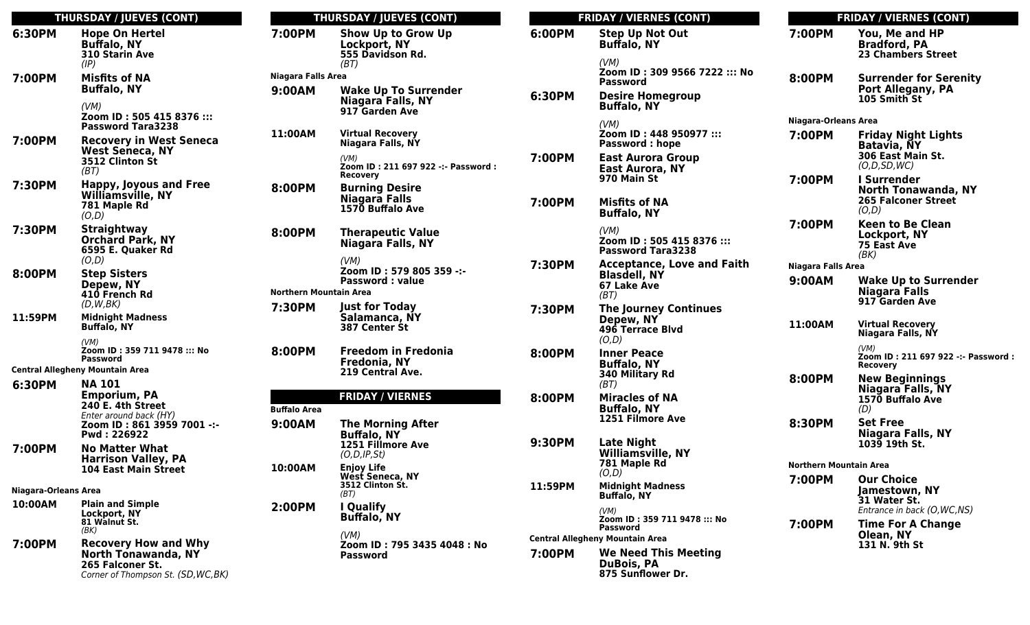|                             | <b>THURSDAY / JUEVES (CONT)</b>                                                                                      | ı                             |
|-----------------------------|----------------------------------------------------------------------------------------------------------------------|-------------------------------|
| 6:30PM                      | <b>Hope On Hertel</b><br><b>Buffalo, NY</b><br>310 Starin Ave<br>(IP)                                                | 7:00PM                        |
| 7:00PM                      | <b>Misfits of NA</b><br><b>Buffalo, NY</b>                                                                           | Niagara Fal<br>9:00AM         |
|                             | (VM)<br>Zoom ID: 505 415 8376 :::<br><b>Password Tara3238</b>                                                        |                               |
| 7:00PM                      | <b>Recovery in West Seneca</b><br><b>West Seneca, NY</b><br>3512 Clinton St<br>(BT)                                  | 11:00AM                       |
| 7:30PM                      | <b>Happy, Joyous and Free</b><br>Williamsville, NY<br>781 Maple Rd<br>(O,D)                                          | 8:00PM                        |
| 7:30PM                      | <b>Straightway</b><br><b>Orchard Park, NY</b><br>6595 E. Quaker Rd<br>(O,D)                                          | 8:00PM                        |
| 8:00PM                      | <b>Step Sisters</b><br>Depew, NY<br>410 French Rd<br>(D, W, BK)                                                      | <b>Northern M</b><br>7:30PM   |
| 11:59PM                     | <b>Midnight Madness</b><br><b>Buffalo, NY</b>                                                                        |                               |
|                             | (VM)<br>Zoom ID: 359 711 9478 ::: No<br><b>Password</b>                                                              | 8:00PM                        |
|                             | <b>Central Allegheny Mountain Area</b>                                                                               |                               |
| 6:30PM                      | <b>NA 101</b><br><b>Emporium, PA</b><br>240 E. 4th Street                                                            |                               |
|                             | Enter around back (HY)<br>Zoom ID: 861 3959 7001 -:-<br>Pwd: 226922                                                  | <b>Buffalo Area</b><br>9:00AM |
| 7:00PM                      | <b>No Matter What</b><br><b>Harrison Valley, PA</b><br><b>104 East Main Street</b>                                   | 10:00AM                       |
| <b>Niagara-Orleans Area</b> |                                                                                                                      |                               |
| 10:00AM                     | <b>Plain and Simple</b><br>Lockport, NY<br>81 Walnut St.<br>(BK)                                                     | 2:00PM                        |
| 7:00PM                      | <b>Recovery How and Why</b><br><b>North Tonawanda, NY</b><br>265 Falconer St.<br>Corner of Thompson St. (SD, WC, BK) |                               |
|                             |                                                                                                                      |                               |

|           | <b>THURSDAY / JUEVES (CONT)</b>                                       |                  |
|-----------|-----------------------------------------------------------------------|------------------|
|           | <b>Show Up to Grow Up</b><br>Lockport, NY<br>555 Davidson Rd.<br>(BT) | 6:00F            |
| ılls Area |                                                                       |                  |
|           | <b>Wake Up To Surrender</b><br>Niagara Falls, NY<br>917 Garden Ave    | 6:30F            |
|           | <b>Virtual Recovery</b><br>Niagara Falls, NY                          |                  |
|           | (VM)<br>Zoom ID: 211 697 922 -:- Password:<br>Recovery                | 7:00F            |
|           | <b>Burning Desire</b><br>Niagara Falls<br>1570 Buffalo Ave            | 7:00F            |
|           | <b>Therapeutic Value</b><br><b>Niagara Falls, NY</b>                  |                  |
|           | (VM)<br>Zoom ID: 579 805 359 -:-<br><b>Password: value</b>            | 7:30F            |
|           | <b>Mountain Area</b>                                                  |                  |
|           | <b>Just for Today</b><br>Salamanca, NY<br>387 Center St               | 7:30F            |
|           | <b>Freedom in Fredonia</b><br>Fredonia, NY<br>219 Central Ave.        | 8:00F            |
|           |                                                                       |                  |
|           | <b>FRIDAY / VIERNES</b>                                               | 8:00F            |
| эa        | <b>The Morning After</b>                                              |                  |
|           | <b>Buffalo, NY</b><br>1251 Fillmore Ave<br>(O, D, IP, St)             | 9:30F            |
|           | <b>Enjoy Life</b><br>West Seneca, NY<br>3512 Clinton St.<br>(BT)      | 11:59            |
|           | I Qualify<br><b>Buffalo, NY</b>                                       |                  |
|           | (VM)<br>Zoom ID: 795 3435 4048 : No<br>Password                       | Central<br>7:00F |
|           |                                                                       |                  |

|         | <b>FRIDAY / VIERNES (CONT)</b>                                                                     |                             | <b>FRIDAY / VIERNES (CONT)</b>                                                     |
|---------|----------------------------------------------------------------------------------------------------|-----------------------------|------------------------------------------------------------------------------------|
| 6:00PM  | <b>Step Up Not Out</b><br><b>Buffalo, NY</b>                                                       | 7:00PM                      | You, Me and HP<br><b>Bradford, PA</b><br><b>23 Chambers Street</b>                 |
| 6:30PM  | (VM)<br>Zoom ID: 309 9566 7222 ::: No<br>Password<br><b>Desire Homegroup</b><br><b>Buffalo, NY</b> | 8:00PM                      | <b>Surrender for Serenity</b><br>Port Allegany, PA<br>105 Smith St                 |
|         | (VM)                                                                                               | <b>Niagara-Orleans Area</b> |                                                                                    |
| 7:00PM  | Zoom ID: 448 950977 :::<br><b>Password: hope</b><br><b>East Aurora Group</b>                       | 7:00PM                      | <b>Friday Night Lights</b><br><b>Batavia, NY</b><br>306 East Main St.              |
|         | <b>East Aurora, NY</b>                                                                             |                             | (O, D, SD, WC)                                                                     |
| 7:00PM  | 970 Main St<br><b>Misfits of NA</b>                                                                | 7:00PM                      | <b>I</b> Surrender<br>North Tonawanda, NY<br><b>265 Falconer Street</b>            |
|         | <b>Buffalo, NY</b>                                                                                 |                             | (O,D)                                                                              |
|         | (VM)<br>Zoom ID: 505 415 8376 :::<br><b>Password Tara3238</b>                                      | 7:00PM                      | <b>Keen to Be Clean</b><br>Lockport, NY<br><b>75 East Ave</b><br>(BK)              |
| 7:30PM  | <b>Acceptance, Love and Faith</b>                                                                  | <b>Niagara Falls Area</b>   |                                                                                    |
|         | <b>Blasdell, NY</b><br>67 Lake Ave<br>(BT)                                                         | 9:00AM                      | <b>Wake Up to Surrender</b><br>Niagara Falls<br>917 Garden Ave                     |
| 7:30PM  | <b>The Journey Continues</b>                                                                       |                             |                                                                                    |
|         | Depew, NY<br>496 Terrace Blvd<br>(O,D)                                                             | 11:00AM                     | <b>Virtual Recovery</b><br>Niagara Falls, NY                                       |
| 8:00PM  | <b>Inner Peace</b><br><b>Buffalo, NY</b>                                                           |                             | (VM)<br>Zoom ID: 211 697 922 -:- Password:<br><b>Recovery</b>                      |
|         | 340 Military Rd<br>(BT)                                                                            | 8:00PM                      | <b>New Beginnings</b><br>Niagara Falls, NY                                         |
| 8:00PM  | <b>Miracles of NA</b><br><b>Buffalo, NY</b>                                                        |                             | 1570 Buffalo Ave<br>(D)                                                            |
|         | 1251 Filmore Ave                                                                                   | 8:30PM                      | <b>Set Free</b><br><b>Niagara Falls, NY</b>                                        |
| 9:30PM  | <b>Late Night</b><br><b>Williamsville, NY</b>                                                      |                             | 1039 19th St.                                                                      |
|         | 781 Maple Rd<br>(O,D)                                                                              | Northern Mountain Area      |                                                                                    |
| 11:59PM | <b>Midnight Madness</b><br>Buffalo, NY<br>(VM)                                                     | 7:00PM                      | <b>Our Choice</b><br>Jamestown, NY<br>31 Water St.<br>Entrance in back (O, WC, NS) |
|         | Zoom ID: 359 711 9478 ::: No<br>Password                                                           | 7:00PM                      | <b>Time For A Change</b>                                                           |
|         | Central Allegheny Mountain Area                                                                    |                             | Olean, NY<br>131 N. 9th St                                                         |
| 7:00PM  | <b>We Need This Meeting</b><br><b>DuBois, PA</b><br>875 Sunflower Dr.                              |                             |                                                                                    |